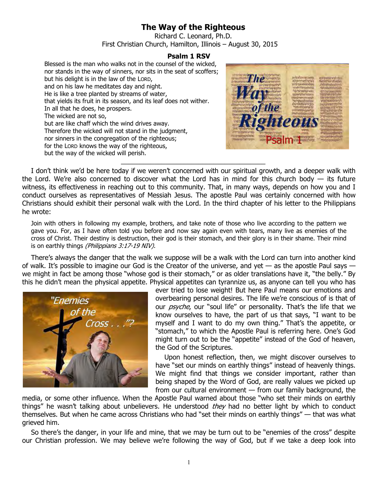## **The Way of the Righteous**

Richard C. Leonard, Ph.D. First Christian Church, Hamilton, Illinois – August 30, 2015

## **Psalm 1 RSV**

Blessed is the man who walks not in the counsel of the wicked, nor stands in the way of sinners, nor sits in the seat of scoffers; but his delight is in the law of the LORD, and on his law he meditates day and night. He is like a tree planted by streams of water, that yields its fruit in its season, and its leaf does not wither. In all that he does, he prospers. The wicked are not so, but are like chaff which the wind drives away. Therefore the wicked will not stand in the judgment, nor sinners in the congregation of the righteous; for the LORD knows the way of the righteous, but the way of the wicked will perish.



I don't think we'd be here today if we weren't concerned with our spiritual growth, and a deeper walk with the Lord. We're also concerned to discover what the Lord has in mind for this church body  $-$  its future witness, its effectiveness in reaching out to this community. That, in many ways, depends on how you and I conduct ourselves as representatives of Messiah Jesus. The apostle Paul was certainly concerned with how Christians should exhibit their personal walk with the Lord. In the third chapter of his letter to the Philippians he wrote:

\_\_\_\_\_\_\_\_\_\_\_\_\_\_\_\_\_\_\_\_\_\_\_\_\_\_\_\_\_\_\_\_\_\_\_\_\_\_\_

Join with others in following my example, brothers, and take note of those who live according to the pattern we gave you. For, as I have often told you before and now say again even with tears, many live as enemies of the cross of Christ. Their destiny is destruction, their god is their stomach, and their glory is in their shame. Their mind is on earthly things (Philippians 3:17-19 NIV).

There's always the danger that the walk we suppose will be a walk with the Lord can turn into another kind of walk. It's possible to imagine our God is the Creator of the universe, and yet  $-$  as the apostle Paul says  $$ we might in fact be among those "whose god is their stomach," or as older translations have it, "the belly." By this he didn't mean the physical appetite. Physical appetites can tyrannize us, as anyone can tell you who has



ever tried to lose weight! But here Paul means our emotions and overbearing personal desires. The life we're conscious of is that of our *psyche*, our "soul life" or personality. That's the life that we know ourselves to have, the part of us that says, "I want to be myself and I want to do my own thing." That's the appetite, or "stomach," to which the Apostle Paul is referring here. One's God might turn out to be the "appetite" instead of the God of heaven, the God of the Scriptures.

Upon honest reflection, then, we might discover ourselves to have "set our minds on earthly things" instead of heavenly things. We might find that things we consider important, rather than being shaped by the Word of God, are really values we picked up from our cultural environment — from our family background, the

media, or some other influence. When the Apostle Paul warned about those "who set their minds on earthly things" he wasn't talking about unbelievers. He understood they had no better light by which to conduct themselves. But when he came across Christians who had "set their minds on earthly things" — that was what grieved him.

So there's the danger, in your life and mine, that we may be turn out to be "enemies of the cross" despite our Christian profession. We may believe we're following the way of God, but if we take a deep look into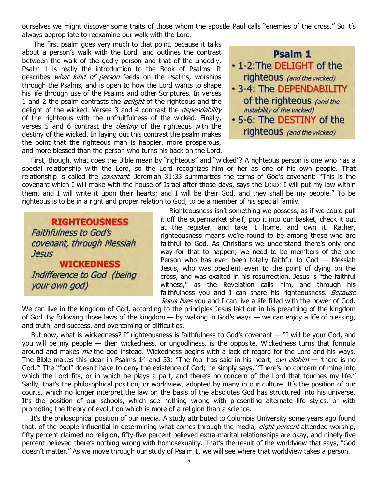ourselves we might discover some traits of those whom the apostle Paul calls "enemies of the cross." So it's always appropriate to reexamine our walk with the Lord.

 The first psalm goes very much to that point, because it talks about a person's walk with the Lord, and outlines the contrast between the walk of the godly person and that of the ungodly. Psalm 1 is really the introduction to the Book of Psalms. It describes *what kind of person* feeds on the Psalms, worships through the Psalms, and is open to how the Lord wants to shape his life through use of the Psalms and other Scriptures. In verses 1 and 2 the psalm contrasts the *delight* of the righteous and the delight of the wicked. Verses 3 and 4 contrast the *dependability* of the righteous with the unfruitfulness of the wicked. Finally, verses 5 and 6 contrast the *destiny* of the righteous with the destiny of the wicked. In laying out this contrast the psalm makes the point that the righteous man is happier, more prosperous, and more blessed than the person who turns his back on the Lord.



First, though, what does the Bible mean by "righteous" and "wicked"? A righteous person is one who has a special relationship with the Lord, so the Lord recognizes him or her as one of his own people. That relationship is called the *covenant*. Jeremiah 31:33 summarizes the terms of God's covenant: "This is the covenant which I will make with the house of Israel after those days, says the LORD: I will put my law within them, and I will write it upon their hearts; and I will be their God, and they shall be my people." To be righteous is to be in a right and proper relation to God, to be a member of his special family.

**RIGHTEOUSNESS Faithfulness to God's** covenant, through Messiah **Jesus WICKEDNESS** 

Indifference to God (being your own god)

Righteousness isn't something we possess, as if we could pull it off the supermarket shelf, pop it into our basket, check it out at the register, and take it home, and own it. Rather, righteousness means we're found to be among those who are faithful to God. As Christians we understand there's only one way for that to happen; we need to be members of the one Person who has ever been totally faithful to God — Messiah Jesus, who was obedient even to the point of dying on the cross, and was exalted in his resurrection. Jesus is "the faithful witness," as the Revelation calls him, and through his faithfulness you and I can share his righteousness. Because Jesus lives you and I can live a life filled with the power of God.

We can live in the kingdom of God, according to the principles Jesus laid out in his preaching of the kingdom of God. By following those laws of the kingdom — by walking in God's ways — we can enjoy a life of blessing, and truth, and success, and overcoming of difficulties.

But now, what is wickedness? If righteousness is faithfulness to God's covenant — "I will be your God, and you will be my people — then wickedness, or ungodliness, is the opposite. Wickedness turns that formula around and makes *me* the god instead. Wickedness begins with a lack of regard for the Lord and his ways. The Bible makes this clear in Psalms 14 and 53: "The fool has said in his heart, eyn elohim  $-$  'there is no God.'" The "fool" doesn't have to deny the existence of God; he simply says, "There's no concern of mine into which the Lord fits, or in which he plays a part, and there's no concern of the Lord that touches my life." Sadly, that's the philosophical position, or worldview, adopted by many in our culture. It's the position of our courts, which no longer interpret the law on the basis of the absolutes God has structured into his universe. It's the position of our schools, which see nothing wrong with presenting alternate life styles, or with promoting the theory of evolution which is more of a religion than a science.

It's the philosophical position of our media. A study attributed to Columbia University some years ago found that, of the people influential in determining what comes through the media, eight percent attended worship, fifty percent claimed no religion, fifty-five percent believed extra-marital relationships are okay, and ninety-five percent believed there's nothing wrong with homosexuality. That's the result of the worldview that says, "God doesn't matter." As we move through our study of Psalm 1, we will see where that worldview takes a person.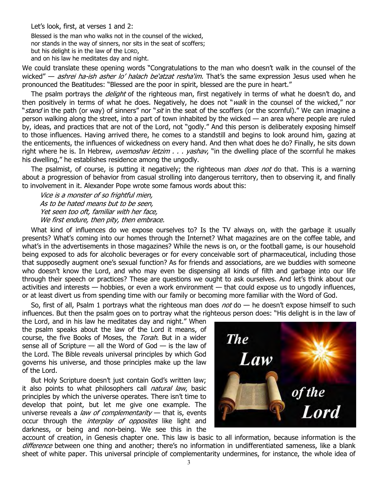Let's look, first, at verses 1 and 2:

Blessed is the man who walks not in the counsel of the wicked, nor stands in the way of sinners, nor sits in the seat of scoffers; but his delight is in the law of the LORD, and on his law he meditates day and night.

We could translate these opening words "Congratulations to the man who doesn't walk in the counsel of the wicked" — *ashrei ha-ish asher lo' halach be'atzat resha'im*. That's the same expression Jesus used when he pronounced the Beatitudes: "Blessed are the poor in spirit, blessed are the pure in heart."

The psalm portrays the *delight* of the righteous man, first negatively in terms of what he doesn't do, and then positively in terms of what he does. Negatively, he does not "walk in the counsel of the wicked," nor "stand in the path (or way) of sinners" nor "sit in the seat of the scoffers (or the scornful)." We can imagine a person walking along the street, into a part of town inhabited by the wicked — an area where people are ruled by, ideas, and practices that are not of the Lord, not "godly." And this person is deliberately exposing himself to those influences. Having arrived there, he comes to a standstill and begins to look around him, gazing at the enticements, the influences of wickedness on every hand. And then what does he do? Finally, he sits down right where he is. In Hebrew, *uvemoshav letzim*  $\ldots$  *yashav*, "in the dwelling place of the scornful he makes his dwelling," he establishes residence among the ungodly.

The psalmist, of course, is putting it negatively; the righteous man *does not* do that. This is a warning about a progression of behavior from casual strolling into dangerous territory, then to observing it, and finally to involvement in it. Alexander Pope wrote some famous words about this:

Vice is a monster of so frightful mien, As to be hated means but to be seen, Yet seen too oft, familiar with her face, We first endure, then pity, then embrace.

What kind of influences do we expose ourselves to? Is the TV always on, with the garbage it usually presents? What's coming into our homes through the Internet? What magazines are on the coffee table, and what's in the advertisements in those magazines? While the news is on, or the football game, is our household being exposed to ads for alcoholic beverages or for every conceivable sort of pharmaceutical, including those that supposedly augment one's sexual function? As for friends and associations, are we buddies with someone who doesn't know the Lord, and who may even be dispensing all kinds of filth and garbage into our life through their speech or practices? These are questions we ought to ask ourselves. And let's think about our activities and interests — hobbies, or even a work environment — that could expose us to ungodly influences, or at least divert us from spending time with our family or becoming more familiar with the Word of God.

So, first of all, Psalm 1 portrays what the righteous man does  $not$  do  $-$  he doesn't expose himself to such influences. But then the psalm goes on to portray what the righteous person does: "His delight is in the law of

the Lord, and in his law he meditates day and night." When the psalm speaks about the law of the Lord it means, of course, the five Books of Moses, the Torah. But in a wider sense all of Scripture  $-$  all the Word of God  $-$  is the law of the Lord. The Bible reveals universal principles by which God governs his universe, and those principles make up the law of the Lord.

But Holy Scripture doesn't just contain God's written law; it also points to what philosophers call *natural law*, basic principles by which the universe operates. There isn't time to develop that point, but let me give one example. The universe reveals a *law of complementarity*  $-$  that is, events occur through the *interplay of opposites* like light and darkness, or being and non-being. We see this in the



account of creation, in Genesis chapter one. This law is basic to all information, because information is the difference between one thing and another; there's no information in undifferentiated sameness, like a blank sheet of white paper. This universal principle of complementarity undermines, for instance, the whole idea of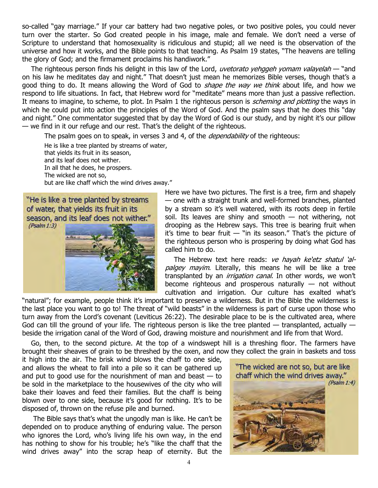so-called "gay marriage." If your car battery had two negative poles, or two positive poles, you could never turn over the starter. So God created people in his image, male and female. We don't need a verse of Scripture to understand that homosexuality is ridiculous and stupid; all we need is the observation of the universe and how it works, and the Bible points to that teaching. As Psalm 19 states, "The heavens are telling the glory of God; and the firmament proclaims his handiwork."

The righteous person finds his delight in this law of the Lord, *uvetorato yehggeh yomam valayelah* — "and on his law he meditates day and night." That doesn't just mean he memorizes Bible verses, though that's a good thing to do. It means allowing the Word of God to *shape the way we think* about life, and how we respond to life situations. In fact, that Hebrew word for "meditate" means more than just a passive reflection. It means to imagine, to scheme, to plot. In Psalm 1 the righteous person is *scheming and plotting* the ways in which he could put into action the principles of the Word of God. And the psalm says that he does this "day and night." One commentator suggested that by day the Word of God is our study, and by night it's our pillow — we find in it our refuge and our rest. That's the delight of the righteous.

The psalm goes on to speak, in verses 3 and 4, of the *dependability* of the righteous:

He is like a tree planted by streams of water, that yields its fruit in its season, and its leaf does not wither. In all that he does, he prospers. The wicked are not so, but are like chaff which the wind drives away."

"He is like a tree planted by streams of water, that yields its fruit in its season, and its leaf does not wither."  $(Psalm 1:3)$ 



Here we have two pictures. The first is a tree, firm and shapely — one with a straight trunk and well-formed branches, planted by a stream so it's well watered, with its roots deep in fertile soil. Its leaves are shiny and smooth  $-$  not withering, not drooping as the Hebrew says. This tree is bearing fruit when it's time to bear fruit  $-$  "in its season." That's the picture of the righteous person who is prospering by doing what God has called him to do.

The Hebrew text here reads: ve hayah ke'etz shatul 'alpalgey mayim. Literally, this means he will be like a tree transplanted by an *irrigation canal*. In other words, we won't become righteous and prosperous naturally  $-$  not without cultivation and irrigation. Our culture has exalted what's

"natural"; for example, people think it's important to preserve a wilderness. But in the Bible the wilderness is the last place you want to go to! The threat of "wild beasts" in the wilderness is part of curse upon those who turn away from the Lord's covenant (Leviticus 26:22). The desirable place to be is the cultivated area, where God can till the ground of your life. The righteous person is like the tree planted  $-$  transplanted, actually  $$ beside the irrigation canal of the Word of God, drawing moisture and nourishment and life from that Word.

Go, then, to the second picture. At the top of a windswept hill is a threshing floor. The farmers have brought their sheaves of grain to be threshed by the oxen, and now they collect the grain in baskets and toss

it high into the air. The brisk wind blows the chaff to one side, and allows the wheat to fall into a pile so it can be gathered up and put to good use for the nourishment of man and beast  $-$  to be sold in the marketplace to the housewives of the city who will bake their loaves and feed their families. But the chaff is being blown over to one side, because it's good for nothing. It's to be disposed of, thrown on the refuse pile and burned.

 The Bible says that's what the ungodly man is like. He can't be depended on to produce anything of enduring value. The person who ignores the Lord, who's living life his own way, in the end has nothing to show for his trouble; he's "like the chaff that the wind drives away" into the scrap heap of eternity. But the

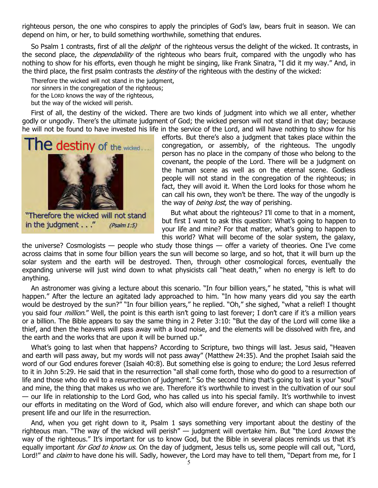righteous person, the one who conspires to apply the principles of God's law, bears fruit in season. We can depend on him, or her, to build something worthwhile, something that endures.

So Psalm 1 contrasts, first of all the *delight* of the righteous versus the delight of the wicked. It contrasts, in the second place, the *dependability* of the righteous who bears fruit, compared with the ungodly who has nothing to show for his efforts, even though he might be singing, like Frank Sinatra, "I did it my way." And, in the third place, the first psalm contrasts the *destiny* of the righteous with the destiny of the wicked:

Therefore the wicked will not stand in the judgment, nor sinners in the congregation of the righteous; for the LORD knows the way of the righteous, but the way of the wicked will perish.

First of all, the destiny of the wicked. There are two kinds of judgment into which we all enter, whether godly or ungodly. There's the ultimate judgment of God; the wicked person will not stand in that day; because he will not be found to have invested his life in the service of the Lord, and will have nothing to show for his



"Therefore the wicked will not stand in the judgment . . ."  $(Psalm 1:5)$ 

efforts. But there's also a judgment that takes place within the congregation, or assembly, of the righteous. The ungodly person has no place in the company of those who belong to the covenant, the people of the Lord. There will be a judgment on the human scene as well as on the eternal scene. Godless people will not stand in the congregation of the righteous; in fact, they will avoid it. When the Lord looks for those whom he can call his own, they won't be there. The way of the ungodly is the way of *being lost*, the way of perishing.

But what about the righteous? I'll come to that in a moment, but first I want to ask this question: What's going to happen to your life and mine? For that matter, what's going to happen to this world? What will become of the solar system, the galaxy,

the universe? Cosmologists  $-$  people who study those things  $-$  offer a variety of theories. One I've come across claims that in some four billion years the sun will become so large, and so hot, that it will burn up the solar system and the earth will be destroyed. Then, through other cosmological forces, eventually the expanding universe will just wind down to what physicists call "heat death," when no energy is left to do anything.

An astronomer was giving a lecture about this scenario. "In four billion years," he stated, "this is what will happen." After the lecture an agitated lady approached to him. "In how many years did you say the earth would be destroyed by the sun?" "In four billion years," he replied. "Oh," she sighed, "what a relief! I thought you said four *million*." Well, the point is this earth isn't going to last forever; I don't care if it's a million years or a billion. The Bible appears to say the same thing in 2 Peter 3:10: "But the day of the Lord will come like a thief, and then the heavens will pass away with a loud noise, and the elements will be dissolved with fire, and the earth and the works that are upon it will be burned up."

What's going to last when that happens? According to Scripture, two things will last. Jesus said, "Heaven and earth will pass away, but my words will not pass away" (Matthew 24:35). And the prophet Isaiah said the word of our God endures forever (Isaiah 40:8). But something else is going to endure; the Lord Jesus referred to it in John 5:29. He said that in the resurrection "all shall come forth, those who do good to a resurrection of life and those who do evil to a resurrection of judgment." So the second thing that's going to last is your "soul" and mine, the thing that makes us who we are. Therefore it's worthwhile to invest in the cultivation of our soul — our life in relationship to the Lord God, who has called us into his special family. It's worthwhile to invest our efforts in meditating on the Word of God, which also will endure forever, and which can shape both our present life and our life in the resurrection.

And, when you get right down to it, Psalm 1 says something very important about the destiny of the righteous man. "The way of the wicked will perish"  $-$  judgment will overtake him. But "the Lord knows the way of the righteous." It's important for us to know God, but the Bible in several places reminds us that it's equally important *for God to know us*. On the day of judgment, Jesus tells us, some people will call out, "Lord, Lord!" and *claim* to have done his will. Sadly, however, the Lord may have to tell them, "Depart from me, for I